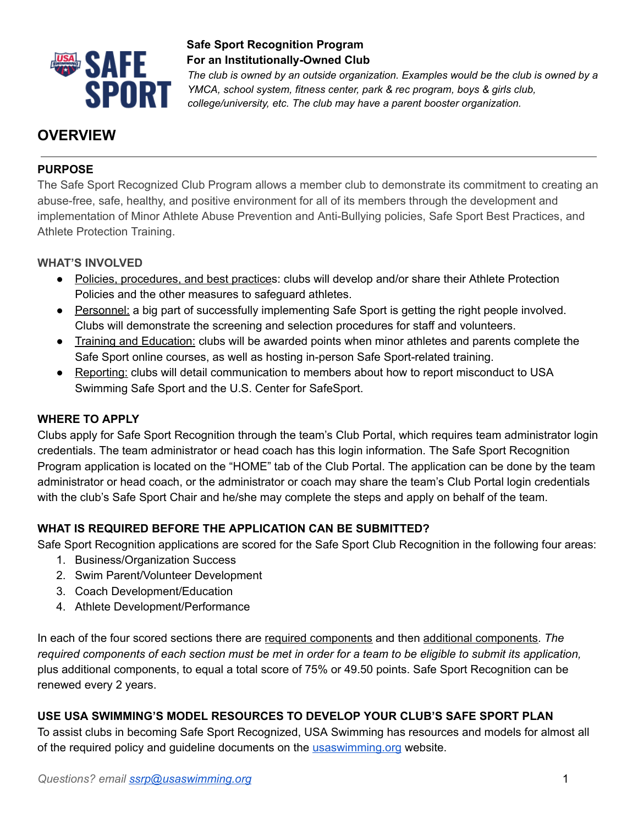

*The club is owned by an outside organization. Examples would be the club is owned by a YMCA, school system, fitness center, park & rec program, boys & girls club, college/university, etc. The club may have a parent booster organization.*

# **OVERVIEW**

## **PURPOSE**

The Safe Sport Recognized Club Program allows a member club to demonstrate its commitment to creating an abuse-free, safe, healthy, and positive environment for all of its members through the development and implementation of Minor Athlete Abuse Prevention and Anti-Bullying policies, Safe Sport Best Practices, and Athlete Protection Training.

#### **WHAT'S INVOLVED**

- Policies, procedures, and best practices: clubs will develop and/or share their Athlete Protection Policies and the other measures to safeguard athletes.
- Personnel: a big part of successfully implementing Safe Sport is getting the right people involved. Clubs will demonstrate the screening and selection procedures for staff and volunteers.
- Training and Education: clubs will be awarded points when minor athletes and parents complete the Safe Sport online courses, as well as hosting in-person Safe Sport-related training.
- Reporting: clubs will detail communication to members about how to report misconduct to USA Swimming Safe Sport and the U.S. Center for SafeSport.

#### **WHERE TO APPLY**

Clubs apply for Safe Sport Recognition through the team's Club Portal, which requires team administrator login credentials. The team administrator or head coach has this login information. The Safe Sport Recognition Program application is located on the "HOME" tab of the Club Portal. The application can be done by the team administrator or head coach, or the administrator or coach may share the team's Club Portal login credentials with the club's Safe Sport Chair and he/she may complete the steps and apply on behalf of the team.

## **WHAT IS REQUIRED BEFORE THE APPLICATION CAN BE SUBMITTED?**

Safe Sport Recognition applications are scored for the Safe Sport Club Recognition in the following four areas:

- 1. Business/Organization Success
- 2. Swim Parent/Volunteer Development
- 3. Coach Development/Education
- 4. Athlete Development/Performance

In each of the four scored sections there are required components and then additional components. *The* required components of each section must be met in order for a team to be eligible to submit its application, plus additional components, to equal a total score of 75% or 49.50 points. Safe Sport Recognition can be renewed every 2 years.

#### **USE USA SWIMMING'S MODEL RESOURCES TO DEVELOP YOUR CLUB'S SAFE SPORT PLAN**

To assist clubs in becoming Safe Sport Recognized, USA Swimming has resources and models for almost all of the required policy and guideline documents on the [usaswimming.org](http://usaswimming.org/) website.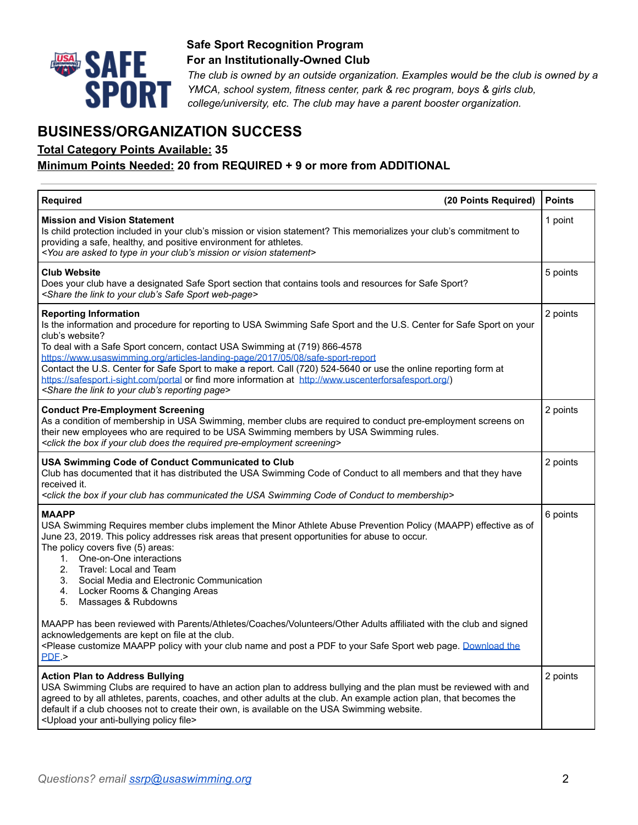

*The club is owned by an outside organization. Examples would be the club is owned by a YMCA, school system, fitness center, park & rec program, boys & girls club, college/university, etc. The club may have a parent booster organization.*

## **BUSINESS/ORGANIZATION SUCCESS**

#### **Total Category Points Available: 35**

#### **Minimum Points Needed: 20 from REQUIRED + 9 or more from ADDITIONAL**

| <b>Required</b><br>(20 Points Required)                                                                                                                                                                                                                                                                                                                                                                                                                                                                                                                                                                                                             | <b>Points</b> |
|-----------------------------------------------------------------------------------------------------------------------------------------------------------------------------------------------------------------------------------------------------------------------------------------------------------------------------------------------------------------------------------------------------------------------------------------------------------------------------------------------------------------------------------------------------------------------------------------------------------------------------------------------------|---------------|
| <b>Mission and Vision Statement</b><br>Is child protection included in your club's mission or vision statement? This memorializes your club's commitment to<br>providing a safe, healthy, and positive environment for athletes.<br><you are="" asked="" club's="" in="" mission="" or="" statement="" to="" type="" vision="" your=""></you>                                                                                                                                                                                                                                                                                                       | 1 point       |
| Club Website<br>Does your club have a designated Safe Sport section that contains tools and resources for Safe Sport?<br><share club's="" link="" safe="" sport="" the="" to="" web-page="" your=""></share>                                                                                                                                                                                                                                                                                                                                                                                                                                        | 5 points      |
| <b>Reporting Information</b><br>Is the information and procedure for reporting to USA Swimming Safe Sport and the U.S. Center for Safe Sport on your<br>club's website?<br>To deal with a Safe Sport concern, contact USA Swimming at (719) 866-4578<br>https://www.usaswimming.org/articles-landing-page/2017/05/08/safe-sport-report<br>Contact the U.S. Center for Safe Sport to make a report. Call (720) 524-5640 or use the online reporting form at<br>https://safesport.j-sight.com/portal or find more information at http://www.uscenterforsafesport.org/)<br><share club's="" link="" page="" reporting="" the="" to="" your=""></share> | 2 points      |
| <b>Conduct Pre-Employment Screening</b><br>As a condition of membership in USA Swimming, member clubs are required to conduct pre-employment screens on<br>their new employees who are required to be USA Swimming members by USA Swimming rules.<br><click box="" club="" does="" if="" pre-employment="" required="" screening="" the="" your=""></click>                                                                                                                                                                                                                                                                                         | 2 points      |
| USA Swimming Code of Conduct Communicated to Club<br>Club has documented that it has distributed the USA Swimming Code of Conduct to all members and that they have<br>received it.<br><click box="" club="" code="" communicated="" conduct="" has="" if="" membership="" of="" swimming="" the="" to="" usa="" your=""></click>                                                                                                                                                                                                                                                                                                                   | 2 points      |
| <b>MAAPP</b><br>USA Swimming Requires member clubs implement the Minor Athlete Abuse Prevention Policy (MAAPP) effective as of<br>June 23, 2019. This policy addresses risk areas that present opportunities for abuse to occur.<br>The policy covers five (5) areas:<br>One-on-One interactions<br>1.<br>2.<br>Travel: Local and Team<br>3. Social Media and Electronic Communication<br>4. Locker Rooms & Changing Areas<br>5.<br>Massages & Rubdowns                                                                                                                                                                                             | 6 points      |
| MAAPP has been reviewed with Parents/Athletes/Coaches/Volunteers/Other Adults affiliated with the club and signed<br>acknowledgements are kept on file at the club.<br><please a="" and="" club="" customize="" download="" maapp="" name="" page.="" pdf="" policy="" post="" safe="" sport="" the<br="" to="" web="" with="" your=""><math>PDE</math> &gt;</please>                                                                                                                                                                                                                                                                               |               |
| <b>Action Plan to Address Bullying</b><br>USA Swimming Clubs are required to have an action plan to address bullying and the plan must be reviewed with and<br>agreed to by all athletes, parents, coaches, and other adults at the club. An example action plan, that becomes the<br>default if a club chooses not to create their own, is available on the USA Swimming website.<br><upload anti-bullying="" file="" policy="" your=""></upload>                                                                                                                                                                                                  | 2 points      |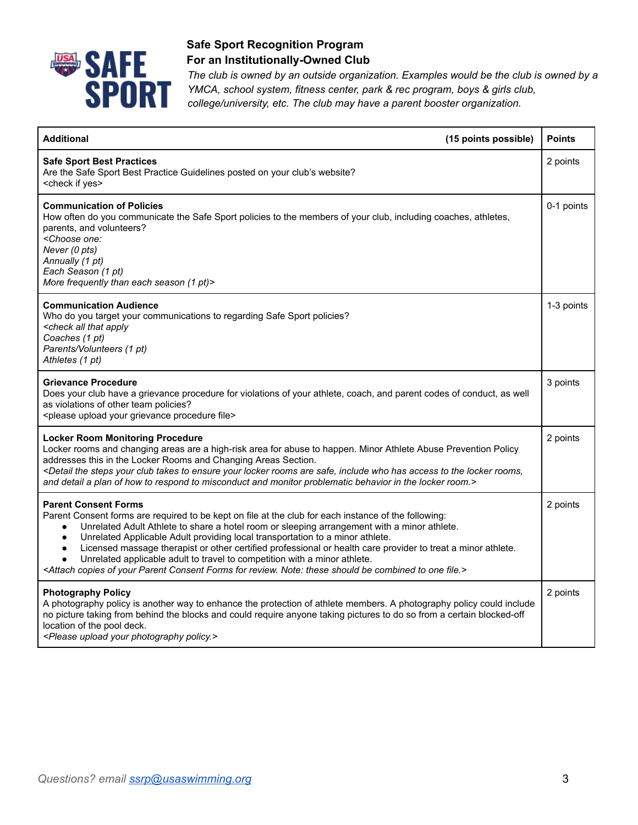

*The club is owned by an outside organization. Examples would be the club is owned by a YMCA, school system, fitness center, park & rec program, boys & girls club, college/university, etc. The club may have a parent booster organization.*

| <b>Additional</b>                                                                                                                                                                                                                                                                                                                                                                                                                                                                                                                                                                                                                                                                                                        | (15 points possible) | <b>Points</b> |
|--------------------------------------------------------------------------------------------------------------------------------------------------------------------------------------------------------------------------------------------------------------------------------------------------------------------------------------------------------------------------------------------------------------------------------------------------------------------------------------------------------------------------------------------------------------------------------------------------------------------------------------------------------------------------------------------------------------------------|----------------------|---------------|
| <b>Safe Sport Best Practices</b><br>Are the Safe Sport Best Practice Guidelines posted on your club's website?<br><check if="" yes=""></check>                                                                                                                                                                                                                                                                                                                                                                                                                                                                                                                                                                           |                      | 2 points      |
| <b>Communication of Policies</b><br>How often do you communicate the Safe Sport policies to the members of your club, including coaches, athletes,<br>parents, and volunteers?<br><choose one:<br="">Never (0 pts)<br/>Annually (1 pt)<br/>Each Season (1 pt)<br/>More frequently than each season (1 pt)&gt;</choose>                                                                                                                                                                                                                                                                                                                                                                                                   |                      | 0-1 points    |
| <b>Communication Audience</b><br>Who do you target your communications to regarding Safe Sport policies?<br><check all="" apply<br="" that="">Coaches (1 pt)<br/>Parents/Volunteers (1 pt)<br/>Athletes (1 pt)</check>                                                                                                                                                                                                                                                                                                                                                                                                                                                                                                   |                      | 1-3 points    |
| <b>Grievance Procedure</b><br>Does your club have a grievance procedure for violations of your athlete, coach, and parent codes of conduct, as well<br>as violations of other team policies?<br><please file="" grievance="" procedure="" upload="" your=""></please>                                                                                                                                                                                                                                                                                                                                                                                                                                                    |                      | 3 points      |
| <b>Locker Room Monitoring Procedure</b><br>Locker rooms and changing areas are a high-risk area for abuse to happen. Minor Athlete Abuse Prevention Policy<br>addresses this in the Locker Rooms and Changing Areas Section.<br><detail access="" are="" club="" ensure="" has="" include="" locker="" rooms="" rooms,<br="" safe,="" steps="" takes="" the="" to="" who="" your="">and detail a plan of how to respond to misconduct and monitor problematic behavior in the locker room.&gt;</detail>                                                                                                                                                                                                                  |                      | 2 points      |
| <b>Parent Consent Forms</b><br>Parent Consent forms are required to be kept on file at the club for each instance of the following:<br>Unrelated Adult Athlete to share a hotel room or sleeping arrangement with a minor athlete.<br>$\bullet$<br>Unrelated Applicable Adult providing local transportation to a minor athlete.<br>$\bullet$<br>Licensed massage therapist or other certified professional or health care provider to treat a minor athlete.<br>$\bullet$<br>Unrelated applicable adult to travel to competition with a minor athlete.<br><attach be="" combined="" consent="" copies="" file.="" for="" forms="" note:="" of="" one="" parent="" review.="" should="" these="" to="" your=""></attach> |                      | 2 points      |
| <b>Photography Policy</b><br>A photography policy is another way to enhance the protection of athlete members. A photography policy could include<br>no picture taking from behind the blocks and could require anyone taking pictures to do so from a certain blocked-off<br>location of the pool deck.<br><please photography="" policy.="" upload="" your=""></please>                                                                                                                                                                                                                                                                                                                                                |                      | 2 points      |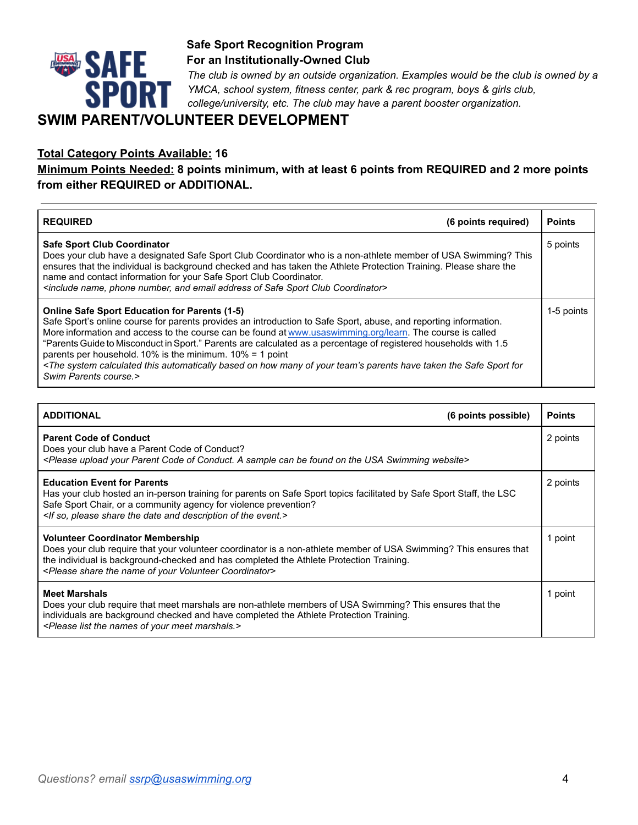

*The club is owned by an outside organization. Examples would be the club is owned by a YMCA, school system, fitness center, park & rec program, boys & girls club, college/university, etc. The club may have a parent booster organization.* 

## **SWIM PARENT/VOLUNTEER DEVELOPMENT**

#### **Total Category Points Available: 16**

**Minimum Points Needed: 8 points minimum, with at least 6 points from REQUIRED and 2 more points from either REQUIRED or ADDITIONAL.** 

| <b>REQUIRED</b><br>(6 points required)                                                                                                                                                                                                                                                                                                                                                                                                                                                                                                                                                                                                                                            | <b>Points</b> |
|-----------------------------------------------------------------------------------------------------------------------------------------------------------------------------------------------------------------------------------------------------------------------------------------------------------------------------------------------------------------------------------------------------------------------------------------------------------------------------------------------------------------------------------------------------------------------------------------------------------------------------------------------------------------------------------|---------------|
| <b>Safe Sport Club Coordinator</b><br>Does your club have a designated Safe Sport Club Coordinator who is a non-athlete member of USA Swimming? This<br>ensures that the individual is background checked and has taken the Athlete Protection Training. Please share the<br>name and contact information for your Safe Sport Club Coordinator.<br><include address="" and="" club="" coordinator="" email="" name,="" number,="" of="" phone="" safe="" sport=""></include>                                                                                                                                                                                                      | 5 points      |
| <b>Online Safe Sport Education for Parents (1-5)</b><br>Safe Sport's online course for parents provides an introduction to Safe Sport, abuse, and reporting information.<br>More information and access to the course can be found at www.usaswimming.org/learn. The course is called<br>"Parents Guide to Misconduct in Sport." Parents are calculated as a percentage of registered households with 1.5<br>parents per household. 10% is the minimum. 10% = 1 point<br><the automatically="" based="" calculated="" for<br="" have="" how="" many="" of="" on="" parents="" safe="" sport="" system="" taken="" team's="" the="" this="" your="">Swim Parents course.&gt;</the> | 1-5 points    |

| <b>ADDITIONAL</b>                                                                                                                                                                                                                                                                                                                              | (6 points possible) | <b>Points</b> |
|------------------------------------------------------------------------------------------------------------------------------------------------------------------------------------------------------------------------------------------------------------------------------------------------------------------------------------------------|---------------------|---------------|
| <b>Parent Code of Conduct</b><br>Does your club have a Parent Code of Conduct?<br><please a="" be="" can="" code="" conduct.="" found="" of="" on="" parent="" sample="" swimming="" the="" upload="" usa="" website="" your=""></please>                                                                                                      |                     | 2 points      |
| <b>Education Event for Parents</b><br>Has your club hosted an in-person training for parents on Safe Sport topics facilitated by Safe Sport Staff, the LSC<br>Safe Sport Chair, or a community agency for violence prevention?<br><if and="" date="" description="" event.="" of="" please="" share="" so,="" the=""></if>                     |                     | 2 points      |
| <b>Volunteer Coordinator Membership</b><br>Does your club require that your volunteer coordinator is a non-athlete member of USA Swimming? This ensures that<br>the individual is background-checked and has completed the Athlete Protection Training.<br><please coordinator="" name="" of="" share="" the="" volunteer="" your=""></please> |                     | 1 point       |
| <b>Meet Marshals</b><br>Does your club require that meet marshals are non-athlete members of USA Swimming? This ensures that the<br>individuals are background checked and have completed the Athlete Protection Training.<br><please list="" marshals.="" meet="" names="" of="" the="" your=""></please>                                     |                     | 1 point       |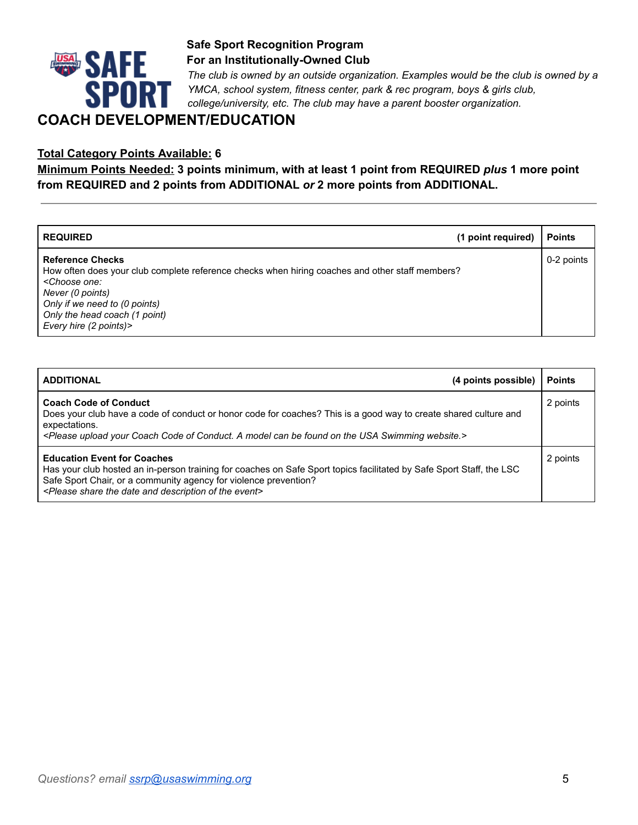

*The club is owned by an outside organization. Examples would be the club is owned by a YMCA, school system, fitness center, park & rec program, boys & girls club, college/university, etc. The club may have a parent booster organization.*

## **COACH DEVELOPMENT/EDUCATION**

#### **Total Category Points Available: 6**

**Minimum Points Needed: 3 points minimum, with at least 1 point from REQUIRED** *plus* **1 more point from REQUIRED and 2 points from ADDITIONAL** *or* **2 more points from ADDITIONAL.**

| <b>REQUIRED</b>                                                                                                                                                                                                                                                              | (1 point required) | <b>Points</b> |
|------------------------------------------------------------------------------------------------------------------------------------------------------------------------------------------------------------------------------------------------------------------------------|--------------------|---------------|
| <b>Reference Checks</b><br>How often does your club complete reference checks when hiring coaches and other staff members?<br><choose one:<br="">Never (0 points)<br/>Only if we need to (0 points)<br/>Only the head coach (1 point)<br/>Every hire (2 points)&gt;</choose> |                    | 0-2 points    |

| <b>ADDITIONAL</b><br>(4 points possible)                                                                                                                                                                                                                                                                                    | <b>Points</b> |
|-----------------------------------------------------------------------------------------------------------------------------------------------------------------------------------------------------------------------------------------------------------------------------------------------------------------------------|---------------|
| <b>Coach Code of Conduct</b><br>Does your club have a code of conduct or honor code for coaches? This is a good way to create shared culture and<br>expectations.<br><please a="" be="" can="" coach="" code="" conduct.="" found="" model="" of="" on="" swimming="" the="" upload="" usa="" website.="" your=""></please> | 2 points      |
| <b>Education Event for Coaches</b><br>Has your club hosted an in-person training for coaches on Safe Sport topics facilitated by Safe Sport Staff, the LSC<br>Safe Sport Chair, or a community agency for violence prevention?<br><please and="" date="" description="" event="" of="" share="" the=""></please>            | 2 points      |